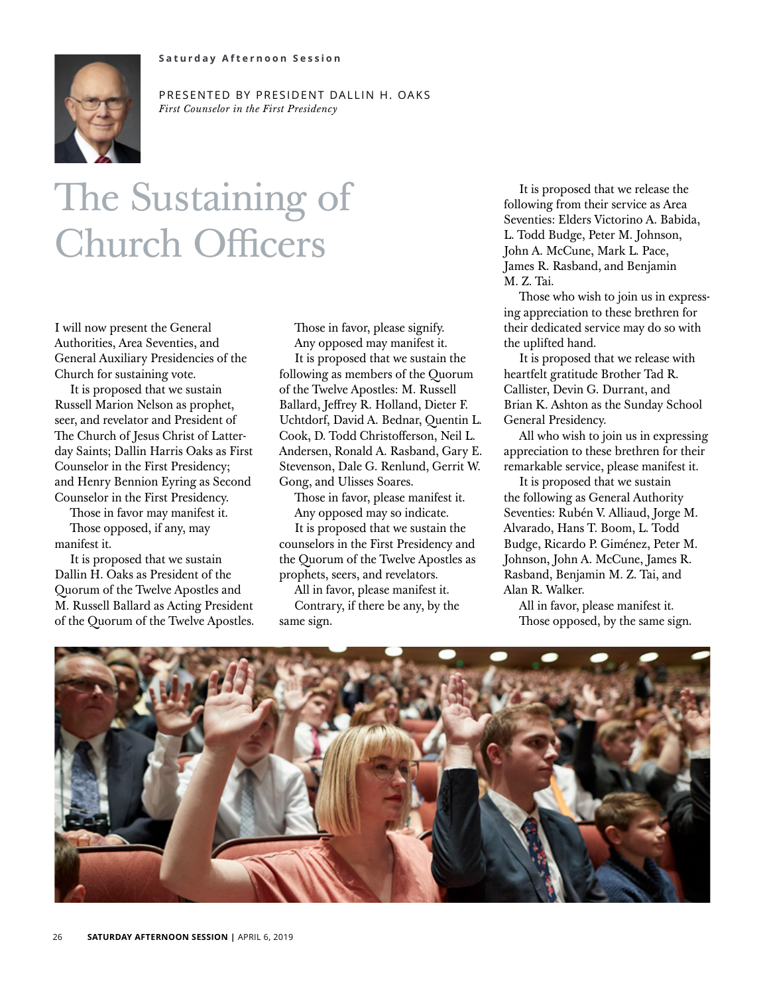

PRESENTED BY PRESIDENT DALLIN H. OAKS *First Counselor in the First Presidency*

## The Sustaining of Church Officers

I will now present the General Authorities, Area Seventies, and General Auxiliary Presidencies of the Church for sustaining vote.

It is proposed that we sustain Russell Marion Nelson as prophet, seer, and revelator and President of The Church of Jesus Christ of Latterday Saints; Dallin Harris Oaks as First Counselor in the First Presidency; and Henry Bennion Eyring as Second Counselor in the First Presidency.

Those in favor may manifest it. Those opposed, if any, may manifest it.

It is proposed that we sustain Dallin H. Oaks as President of the Quorum of the Twelve Apostles and M. Russell Ballard as Acting President of the Quorum of the Twelve Apostles. Those in favor, please signify. Any opposed may manifest it.

It is proposed that we sustain the following as members of the Quorum of the Twelve Apostles: M. Russell Ballard, Jeffrey R. Holland, Dieter F. Uchtdorf, David A. Bednar, Quentin L. Cook, D. Todd Christofferson, Neil L. Andersen, Ronald A. Rasband, Gary E. Stevenson, Dale G. Renlund, Gerrit W. Gong, and Ulisses Soares.

Those in favor, please manifest it. Any opposed may so indicate.

It is proposed that we sustain the counselors in the First Presidency and the Quorum of the Twelve Apostles as prophets, seers, and revelators.

All in favor, please manifest it.

Contrary, if there be any, by the same sign.

It is proposed that we release the following from their service as Area Seventies: Elders Victorino A. Babida, L. Todd Budge, Peter M. Johnson, John A. McCune, Mark L. Pace, James R. Rasband, and Benjamin M. Z. Tai.

Those who wish to join us in expressing appreciation to these brethren for their dedicated service may do so with the uplifted hand.

It is proposed that we release with heartfelt gratitude Brother Tad R. Callister, Devin G. Durrant, and Brian K. Ashton as the Sunday School General Presidency.

All who wish to join us in expressing appreciation to these brethren for their remarkable service, please manifest it.

It is proposed that we sustain the following as General Authority Seventies: Rubén V. Alliaud, Jorge M. Alvarado, Hans T. Boom, L. Todd Budge, Ricardo P. Giménez, Peter M. Johnson, John A. McCune, James R. Rasband, Benjamin M. Z. Tai, and Alan R. Walker.

All in favor, please manifest it. Those opposed, by the same sign.